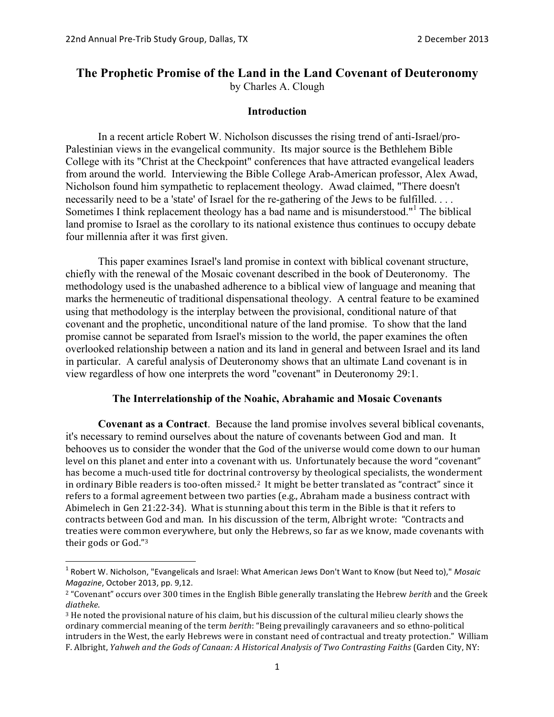## **The Prophetic Promise of the Land in the Land Covenant of Deuteronomy** by Charles A. Clough

#### **Introduction**

In a recent article Robert W. Nicholson discusses the rising trend of anti-Israel/pro-Palestinian views in the evangelical community. Its major source is the Bethlehem Bible College with its "Christ at the Checkpoint" conferences that have attracted evangelical leaders from around the world. Interviewing the Bible College Arab-American professor, Alex Awad, Nicholson found him sympathetic to replacement theology. Awad claimed, "There doesn't necessarily need to be a 'state' of Israel for the re-gathering of the Jews to be fulfilled. . . . Sometimes I think replacement theology has a bad name and is misunderstood."<sup>1</sup> The biblical land promise to Israel as the corollary to its national existence thus continues to occupy debate four millennia after it was first given.

This paper examines Israel's land promise in context with biblical covenant structure, chiefly with the renewal of the Mosaic covenant described in the book of Deuteronomy. The methodology used is the unabashed adherence to a biblical view of language and meaning that marks the hermeneutic of traditional dispensational theology. A central feature to be examined using that methodology is the interplay between the provisional, conditional nature of that covenant and the prophetic, unconditional nature of the land promise. To show that the land promise cannot be separated from Israel's mission to the world, the paper examines the often overlooked relationship between a nation and its land in general and between Israel and its land in particular. A careful analysis of Deuteronomy shows that an ultimate Land covenant is in view regardless of how one interprets the word "covenant" in Deuteronomy 29:1.

## **The Interrelationship of the Noahic, Abrahamic and Mosaic Covenants**

**Covenant as a Contract**. Because the land promise involves several biblical covenants, it's necessary to remind ourselves about the nature of covenants between God and man. It behooves us to consider the wonder that the God of the universe would come down to our human level on this planet and enter into a covenant with us. Unfortunately because the word "covenant" has become a much-used title for doctrinal controversy by theological specialists, the wonderment in ordinary Bible readers is too-often missed.<sup>2</sup> It might be better translated as "contract" since it refers to a formal agreement between two parties (e.g., Abraham made a business contract with Abimelech in Gen 21:22-34). What is stunning about this term in the Bible is that it refers to contracts between God and man. In his discussion of the term, Albright wrote: "Contracts and treaties were common everywhere, but only the Hebrews, so far as we know, made covenants with their gods or God."3

<sup>&</sup>lt;sup>1</sup> Robert W. Nicholson, "Evangelicals and Israel: What American Jews Don't Want to Know (but Need to)," *Mosaic Magazine*, October 2013, pp. 9,12.

<sup>&</sup>lt;sup>2</sup> "Covenant" occurs over 300 times in the English Bible generally translating the Hebrew *berith* and the Greek *diatheke*. 

<sup>&</sup>lt;sup>3</sup> He noted the provisional nature of his claim, but his discussion of the cultural milieu clearly shows the ordinary commercial meaning of the term *berith*: "Being prevailingly caravaneers and so ethno-political intruders in the West, the early Hebrews were in constant need of contractual and treaty protection." William F. Albright, *Yahweh and the Gods of Canaan: A Historical Analysis of Two Contrasting Faiths* (Garden City, NY: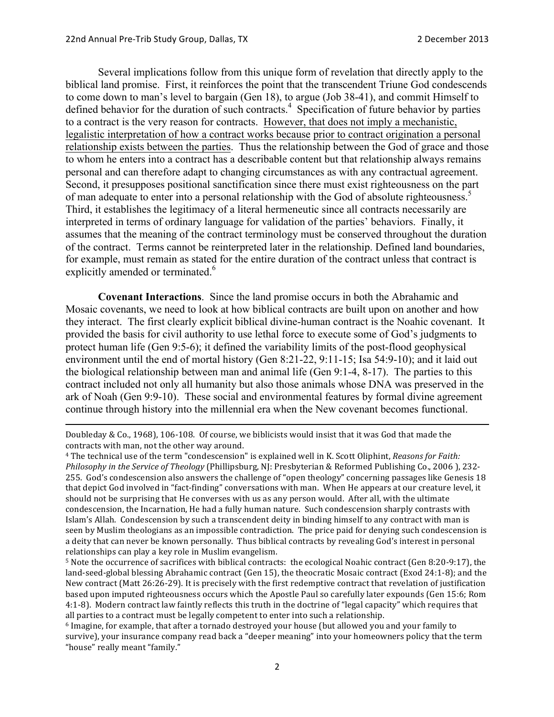Several implications follow from this unique form of revelation that directly apply to the biblical land promise. First, it reinforces the point that the transcendent Triune God condescends to come down to man's level to bargain (Gen 18), to argue (Job 38-41), and commit Himself to defined behavior for the duration of such contracts.<sup>4</sup> Specification of future behavior by parties to a contract is the very reason for contracts. However, that does not imply a mechanistic, legalistic interpretation of how a contract works because prior to contract origination a personal relationship exists between the parties. Thus the relationship between the God of grace and those to whom he enters into a contract has a describable content but that relationship always remains personal and can therefore adapt to changing circumstances as with any contractual agreement. Second, it presupposes positional sanctification since there must exist righteousness on the part of man adequate to enter into a personal relationship with the God of absolute righteousness.<sup>5</sup> Third, it establishes the legitimacy of a literal hermeneutic since all contracts necessarily are interpreted in terms of ordinary language for validation of the parties' behaviors. Finally, it assumes that the meaning of the contract terminology must be conserved throughout the duration of the contract. Terms cannot be reinterpreted later in the relationship. Defined land boundaries, for example, must remain as stated for the entire duration of the contract unless that contract is explicitly amended or terminated.<sup>6</sup>

**Covenant Interactions**. Since the land promise occurs in both the Abrahamic and Mosaic covenants, we need to look at how biblical contracts are built upon on another and how they interact. The first clearly explicit biblical divine-human contract is the Noahic covenant. It provided the basis for civil authority to use lethal force to execute some of God's judgments to protect human life (Gen 9:5-6); it defined the variability limits of the post-flood geophysical environment until the end of mortal history (Gen 8:21-22, 9:11-15; Isa 54:9-10); and it laid out the biological relationship between man and animal life (Gen 9:1-4, 8-17). The parties to this contract included not only all humanity but also those animals whose DNA was preserved in the ark of Noah (Gen 9:9-10). These social and environmental features by formal divine agreement continue through history into the millennial era when the New covenant becomes functional.

<u> 1989 - Andrea Santa Andrea Andrea Andrea Andrea Andrea Andrea Andrea Andrea Andrea Andrea Andrea Andrea Andr</u>

Doubleday & Co., 1968), 106-108. Of course, we biblicists would insist that it was God that made the contracts with man, not the other way around.

<sup>&</sup>lt;sup>4</sup> The technical use of the term "condescension" is explained well in K. Scott Oliphint, *Reasons for Faith: Philosophy in the Service of Theology* (Phillipsburg, NJ: Presbyterian & Reformed Publishing Co., 2006 ), 232-255. God's condescension also answers the challenge of "open theology" concerning passages like Genesis 18 that depict God involved in "fact-finding" conversations with man. When He appears at our creature level, it should not be surprising that He converses with us as any person would. After all, with the ultimate condescension, the Incarnation, He had a fully human nature. Such condescension sharply contrasts with Islam's Allah. Condescension by such a transcendent deity in binding himself to any contract with man is seen by Muslim theologians as an impossible contradiction. The price paid for denying such condescension is a deity that can never be known personally. Thus biblical contracts by revealing God's interest in personal relationships can play a key role in Muslim evangelism.

 $5$  Note the occurrence of sacrifices with biblical contracts: the ecological Noahic contract (Gen 8:20-9:17), the land-seed-global blessing Abrahamic contract (Gen 15), the theocratic Mosaic contract (Exod 24:1-8); and the New contract (Matt 26:26-29). It is precisely with the first redemptive contract that revelation of justification based upon imputed righteousness occurs which the Apostle Paul so carefully later expounds (Gen 15:6; Rom 4:1-8). Modern contract law faintly reflects this truth in the doctrine of "legal capacity" which requires that all parties to a contract must be legally competent to enter into such a relationship.

 $6$  Imagine, for example, that after a tornado destroyed your house (but allowed you and your family to survive), your insurance company read back a "deeper meaning" into your homeowners policy that the term "house" really meant "family."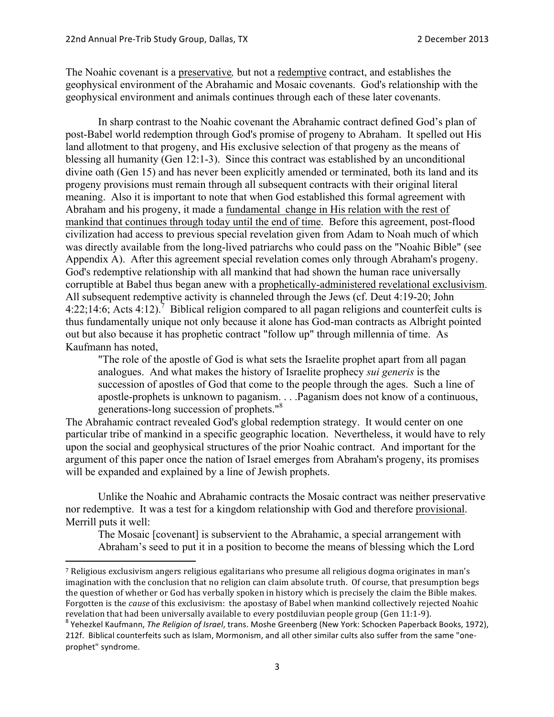The Noahic covenant is a preservative*,* but not a redemptive contract, and establishes the geophysical environment of the Abrahamic and Mosaic covenants. God's relationship with the geophysical environment and animals continues through each of these later covenants.

In sharp contrast to the Noahic covenant the Abrahamic contract defined God's plan of post-Babel world redemption through God's promise of progeny to Abraham. It spelled out His land allotment to that progeny, and His exclusive selection of that progeny as the means of blessing all humanity (Gen 12:1-3). Since this contract was established by an unconditional divine oath (Gen 15) and has never been explicitly amended or terminated, both its land and its progeny provisions must remain through all subsequent contracts with their original literal meaning. Also it is important to note that when God established this formal agreement with Abraham and his progeny, it made a fundamental change in His relation with the rest of mankind that continues through today until the end of time. Before this agreement, post-flood civilization had access to previous special revelation given from Adam to Noah much of which was directly available from the long-lived patriarchs who could pass on the "Noahic Bible" (see Appendix A). After this agreement special revelation comes only through Abraham's progeny. God's redemptive relationship with all mankind that had shown the human race universally corruptible at Babel thus began anew with a prophetically-administered revelational exclusivism. All subsequent redemptive activity is channeled through the Jews (cf. Deut 4:19-20; John 4:22;14:6; Acts 4:12).<sup>7</sup> Biblical religion compared to all pagan religions and counterfeit cults is thus fundamentally unique not only because it alone has God-man contracts as Albright pointed out but also because it has prophetic contract "follow up" through millennia of time. As Kaufmann has noted,

"The role of the apostle of God is what sets the Israelite prophet apart from all pagan analogues. And what makes the history of Israelite prophecy *sui generis* is the succession of apostles of God that come to the people through the ages. Such a line of apostle-prophets is unknown to paganism. . . .Paganism does not know of a continuous, generations-long succession of prophets."8

The Abrahamic contract revealed God's global redemption strategy. It would center on one particular tribe of mankind in a specific geographic location. Nevertheless, it would have to rely upon the social and geophysical structures of the prior Noahic contract. And important for the argument of this paper once the nation of Israel emerges from Abraham's progeny, its promises will be expanded and explained by a line of Jewish prophets.

Unlike the Noahic and Abrahamic contracts the Mosaic contract was neither preservative nor redemptive. It was a test for a kingdom relationship with God and therefore provisional. Merrill puts it well:

The Mosaic [covenant] is subservient to the Abrahamic, a special arrangement with Abraham's seed to put it in a position to become the means of blessing which the Lord

<sup>&</sup>lt;sup>7</sup> Religious exclusivism angers religious egalitarians who presume all religious dogma originates in man's imagination with the conclusion that no religion can claim absolute truth. Of course, that presumption begs the question of whether or God has verbally spoken in history which is precisely the claim the Bible makes. Forgotten is the *cause* of this exclusivism: the apostasy of Babel when mankind collectively rejected Noahic revelation that had been universally available to every postdiluvian people group (Gen 11:1-9).<br><sup>8</sup> Yehezkel Kaufmann, *The Religion of Israel*, trans. Moshe Greenberg (New York: Schocken Paperback Books, 1972),

<sup>212</sup>f. Biblical counterfeits such as Islam, Mormonism, and all other similar cults also suffer from the same "oneprophet" syndrome.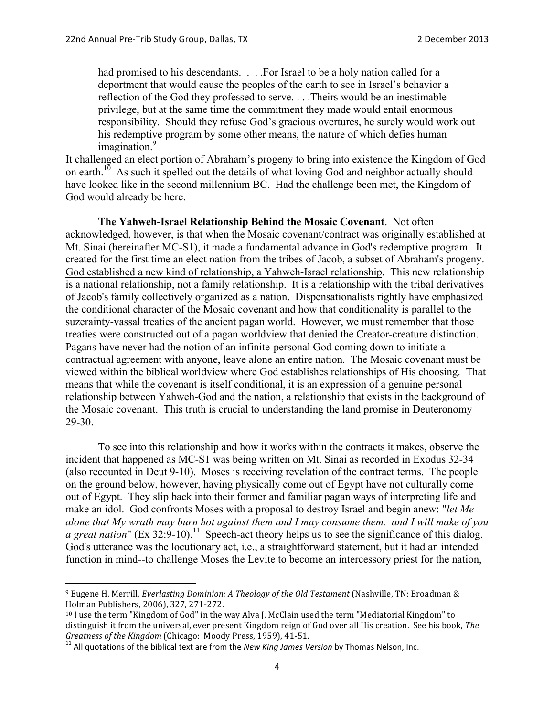had promised to his descendants. . . . For Israel to be a holy nation called for a deportment that would cause the peoples of the earth to see in Israel's behavior a reflection of the God they professed to serve. . . .Theirs would be an inestimable privilege, but at the same time the commitment they made would entail enormous responsibility. Should they refuse God's gracious overtures, he surely would work out his redemptive program by some other means, the nature of which defies human imagination.<sup>9</sup>

It challenged an elect portion of Abraham's progeny to bring into existence the Kingdom of God on earth.<sup>10</sup> As such it spelled out the details of what loving God and neighbor actually should have looked like in the second millennium BC. Had the challenge been met, the Kingdom of God would already be here.

**The Yahweh-Israel Relationship Behind the Mosaic Covenant**. Not often acknowledged, however, is that when the Mosaic covenant/contract was originally established at Mt. Sinai (hereinafter MC-S1), it made a fundamental advance in God's redemptive program. It created for the first time an elect nation from the tribes of Jacob, a subset of Abraham's progeny. God established a new kind of relationship, a Yahweh-Israel relationship. This new relationship is a national relationship, not a family relationship. It is a relationship with the tribal derivatives of Jacob's family collectively organized as a nation. Dispensationalists rightly have emphasized the conditional character of the Mosaic covenant and how that conditionality is parallel to the suzerainty-vassal treaties of the ancient pagan world. However, we must remember that those treaties were constructed out of a pagan worldview that denied the Creator-creature distinction. Pagans have never had the notion of an infinite-personal God coming down to initiate a contractual agreement with anyone, leave alone an entire nation. The Mosaic covenant must be viewed within the biblical worldview where God establishes relationships of His choosing. That means that while the covenant is itself conditional, it is an expression of a genuine personal relationship between Yahweh-God and the nation, a relationship that exists in the background of the Mosaic covenant. This truth is crucial to understanding the land promise in Deuteronomy 29-30.

To see into this relationship and how it works within the contracts it makes, observe the incident that happened as MC-S1 was being written on Mt. Sinai as recorded in Exodus 32-34 (also recounted in Deut 9-10). Moses is receiving revelation of the contract terms. The people on the ground below, however, having physically come out of Egypt have not culturally come out of Egypt. They slip back into their former and familiar pagan ways of interpreting life and make an idol. God confronts Moses with a proposal to destroy Israel and begin anew: "*let Me alone that My wrath may burn hot against them and I may consume them. and I will make of you a great nation*" (Ex  $32:9-10$ ).<sup>11</sup> Speech-act theory helps us to see the significance of this dialog. God's utterance was the locutionary act, i.e., a straightforward statement, but it had an intended function in mind--to challenge Moses the Levite to become an intercessory priest for the nation,

<sup>&</sup>lt;sup>9</sup> Eugene H. Merrill, *Everlasting Dominion: A Theology of the Old Testament* (Nashville, TN: Broadman & Holman Publishers, 2006), 327, 271-272.

 $10$  I use the term "Kingdom of God" in the way Alva I. McClain used the term "Mediatorial Kingdom" to distinguish it from the universal, ever present Kingdom reign of God over all His creation. See his book, *The Greatness of the Kingdom* (Chicago: Moody Press, 1959), 41-51.<br><sup>11</sup> All quotations of the biblical text are from the *New King James Version* by Thomas Nelson, Inc.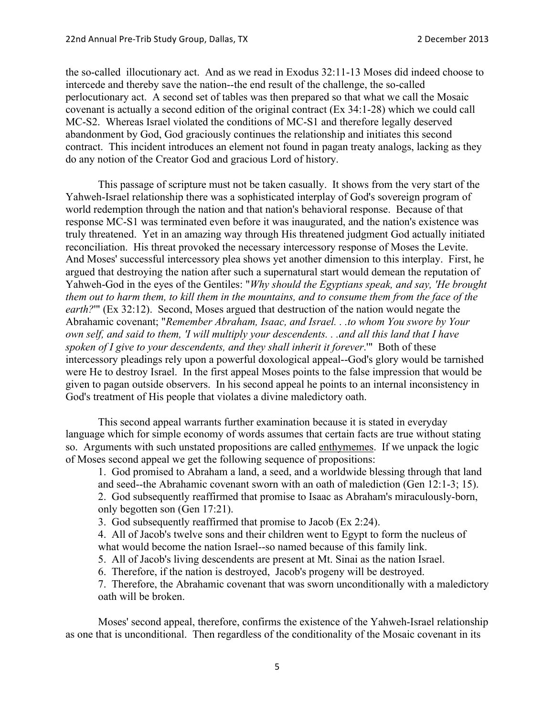the so-called illocutionary act. And as we read in Exodus 32:11-13 Moses did indeed choose to intercede and thereby save the nation--the end result of the challenge, the so-called perlocutionary act. A second set of tables was then prepared so that what we call the Mosaic covenant is actually a second edition of the original contract (Ex 34:1-28) which we could call MC-S2. Whereas Israel violated the conditions of MC-S1 and therefore legally deserved abandonment by God, God graciously continues the relationship and initiates this second contract. This incident introduces an element not found in pagan treaty analogs, lacking as they do any notion of the Creator God and gracious Lord of history.

This passage of scripture must not be taken casually. It shows from the very start of the Yahweh-Israel relationship there was a sophisticated interplay of God's sovereign program of world redemption through the nation and that nation's behavioral response. Because of that response MC-S1 was terminated even before it was inaugurated, and the nation's existence was truly threatened. Yet in an amazing way through His threatened judgment God actually initiated reconciliation. His threat provoked the necessary intercessory response of Moses the Levite. And Moses' successful intercessory plea shows yet another dimension to this interplay. First, he argued that destroying the nation after such a supernatural start would demean the reputation of Yahweh-God in the eyes of the Gentiles: "*Why should the Egyptians speak, and say, 'He brought them out to harm them, to kill them in the mountains, and to consume them from the face of the earth?*" (Ex 32:12). Second, Moses argued that destruction of the nation would negate the Abrahamic covenant; "*Remember Abraham, Isaac, and Israel. . .to whom You swore by Your own self, and said to them, 'I will multiply your descendents. . .and all this land that I have spoken of I give to your descendents, and they shall inherit it forever*.'" Both of these intercessory pleadings rely upon a powerful doxological appeal--God's glory would be tarnished were He to destroy Israel. In the first appeal Moses points to the false impression that would be given to pagan outside observers. In his second appeal he points to an internal inconsistency in God's treatment of His people that violates a divine maledictory oath.

This second appeal warrants further examination because it is stated in everyday language which for simple economy of words assumes that certain facts are true without stating so. Arguments with such unstated propositions are called enthymemes. If we unpack the logic of Moses second appeal we get the following sequence of propositions:

1. God promised to Abraham a land, a seed, and a worldwide blessing through that land and seed--the Abrahamic covenant sworn with an oath of malediction (Gen 12:1-3; 15).

2. God subsequently reaffirmed that promise to Isaac as Abraham's miraculously-born, only begotten son (Gen 17:21).

3. God subsequently reaffirmed that promise to Jacob (Ex 2:24).

4. All of Jacob's twelve sons and their children went to Egypt to form the nucleus of what would become the nation Israel--so named because of this family link.

5. All of Jacob's living descendents are present at Mt. Sinai as the nation Israel.

6. Therefore, if the nation is destroyed, Jacob's progeny will be destroyed.

7. Therefore, the Abrahamic covenant that was sworn unconditionally with a maledictory oath will be broken.

Moses' second appeal, therefore, confirms the existence of the Yahweh-Israel relationship as one that is unconditional. Then regardless of the conditionality of the Mosaic covenant in its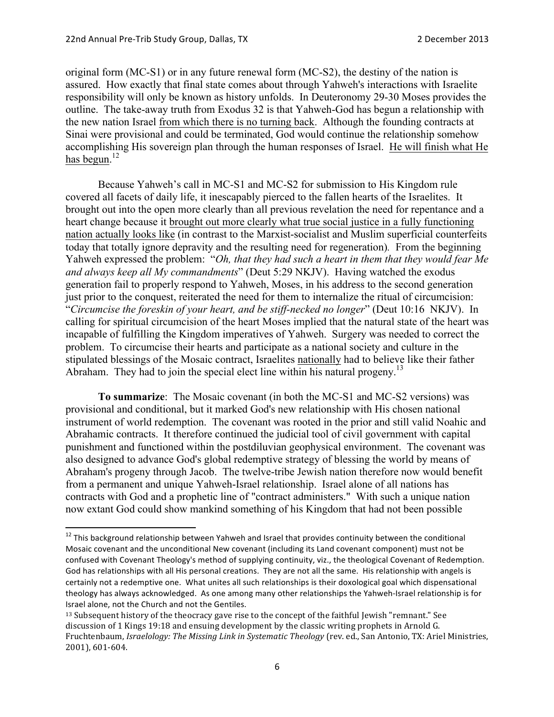original form (MC-S1) or in any future renewal form (MC-S2), the destiny of the nation is assured. How exactly that final state comes about through Yahweh's interactions with Israelite responsibility will only be known as history unfolds. In Deuteronomy 29-30 Moses provides the outline. The take-away truth from Exodus 32 is that Yahweh-God has begun a relationship with the new nation Israel from which there is no turning back. Although the founding contracts at Sinai were provisional and could be terminated, God would continue the relationship somehow accomplishing His sovereign plan through the human responses of Israel. He will finish what He has begun.<sup>12</sup>

Because Yahweh's call in MC-S1 and MC-S2 for submission to His Kingdom rule covered all facets of daily life, it inescapably pierced to the fallen hearts of the Israelites. It brought out into the open more clearly than all previous revelation the need for repentance and a heart change because it brought out more clearly what true social justice in a fully functioning nation actually looks like (in contrast to the Marxist-socialist and Muslim superficial counterfeits today that totally ignore depravity and the resulting need for regeneration)*.* From the beginning Yahweh expressed the problem: "*Oh, that they had such a heart in them that they would fear Me and always keep all My commandments*" (Deut 5:29 NKJV). Having watched the exodus generation fail to properly respond to Yahweh, Moses, in his address to the second generation just prior to the conquest, reiterated the need for them to internalize the ritual of circumcision: "*Circumcise the foreskin of your heart, and be stiff-necked no longer*" (Deut 10:16 NKJV). In calling for spiritual circumcision of the heart Moses implied that the natural state of the heart was incapable of fulfilling the Kingdom imperatives of Yahweh. Surgery was needed to correct the problem. To circumcise their hearts and participate as a national society and culture in the stipulated blessings of the Mosaic contract, Israelites nationally had to believe like their father Abraham. They had to join the special elect line within his natural progeny.<sup>13</sup>

**To summarize**: The Mosaic covenant (in both the MC-S1 and MC-S2 versions) was provisional and conditional, but it marked God's new relationship with His chosen national instrument of world redemption. The covenant was rooted in the prior and still valid Noahic and Abrahamic contracts. It therefore continued the judicial tool of civil government with capital punishment and functioned within the postdiluvian geophysical environment. The covenant was also designed to advance God's global redemptive strategy of blessing the world by means of Abraham's progeny through Jacob. The twelve-tribe Jewish nation therefore now would benefit from a permanent and unique Yahweh-Israel relationship. Israel alone of all nations has contracts with God and a prophetic line of "contract administers." With such a unique nation now extant God could show mankind something of his Kingdom that had not been possible

 $12$  This background relationship between Yahweh and Israel that provides continuity between the conditional Mosaic covenant and the unconditional New covenant (including its Land covenant component) must not be confused with Covenant Theology's method of supplying continuity, viz., the theological Covenant of Redemption. God has relationships with all His personal creations. They are not all the same. His relationship with angels is certainly not a redemptive one. What unites all such relationships is their doxological goal which dispensational theology has always acknowledged. As one among many other relationships the Yahweh-Israel relationship is for Israel alone, not the Church and not the Gentiles. 

<sup>&</sup>lt;sup>13</sup> Subsequent history of the theocracy gave rise to the concept of the faithful Jewish "remnant." See discussion of 1 Kings 19:18 and ensuing development by the classic writing prophets in Arnold G. Fruchtenbaum, *Israelology: The Missing Link in Systematic Theology* (rev. ed., San Antonio, TX: Ariel Ministries, 2001), 601-604.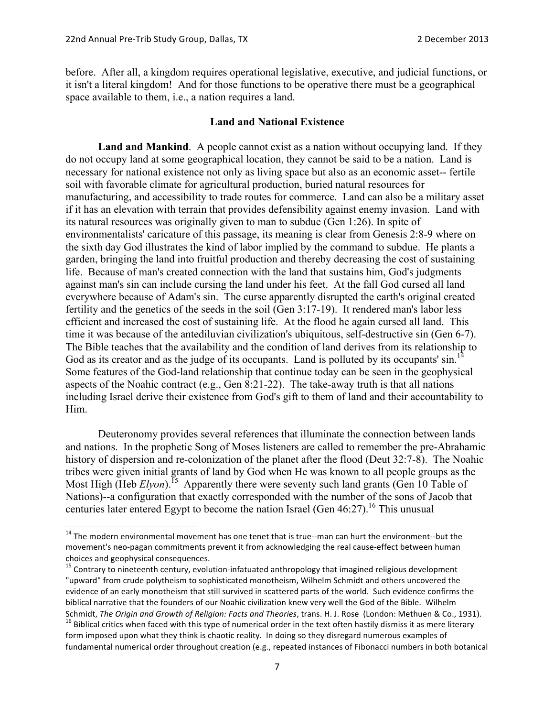before. After all, a kingdom requires operational legislative, executive, and judicial functions, or it isn't a literal kingdom! And for those functions to be operative there must be a geographical space available to them, i.e., a nation requires a land.

#### **Land and National Existence**

**Land and Mankind**. A people cannot exist as a nation without occupying land. If they do not occupy land at some geographical location, they cannot be said to be a nation. Land is necessary for national existence not only as living space but also as an economic asset-- fertile soil with favorable climate for agricultural production, buried natural resources for manufacturing, and accessibility to trade routes for commerce. Land can also be a military asset if it has an elevation with terrain that provides defensibility against enemy invasion. Land with its natural resources was originally given to man to subdue (Gen 1:26). In spite of environmentalists' caricature of this passage, its meaning is clear from Genesis 2:8-9 where on the sixth day God illustrates the kind of labor implied by the command to subdue. He plants a garden, bringing the land into fruitful production and thereby decreasing the cost of sustaining life. Because of man's created connection with the land that sustains him, God's judgments against man's sin can include cursing the land under his feet. At the fall God cursed all land everywhere because of Adam's sin. The curse apparently disrupted the earth's original created fertility and the genetics of the seeds in the soil (Gen 3:17-19). It rendered man's labor less efficient and increased the cost of sustaining life. At the flood he again cursed all land. This time it was because of the antediluvian civilization's ubiquitous, self-destructive sin (Gen 6-7). The Bible teaches that the availability and the condition of land derives from its relationship to God as its creator and as the judge of its occupants. Land is polluted by its occupants'  $\sin$ .<sup>14</sup> Some features of the God-land relationship that continue today can be seen in the geophysical aspects of the Noahic contract (e.g., Gen 8:21-22). The take-away truth is that all nations including Israel derive their existence from God's gift to them of land and their accountability to Him.

Deuteronomy provides several references that illuminate the connection between lands and nations. In the prophetic Song of Moses listeners are called to remember the pre-Abrahamic history of dispersion and re-colonization of the planet after the flood (Deut 32:7-8). The Noahic tribes were given initial grants of land by God when He was known to all people groups as the Most High (Heb *Elyon*).<sup>15</sup> Apparently there were seventy such land grants (Gen 10 Table of Nations)--a configuration that exactly corresponded with the number of the sons of Jacob that centuries later entered Egypt to become the nation Israel (Gen  $46:27$ ).<sup>16</sup> This unusual

 $14$  The modern environmental movement has one tenet that is true--man can hurt the environment--but the movement's neo-pagan commitments prevent it from acknowledging the real cause-effect between human choices and geophysical consequences.

 $15$  Contrary to nineteenth century, evolution-infatuated anthropology that imagined religious development "upward" from crude polytheism to sophisticated monotheism, Wilhelm Schmidt and others uncovered the evidence of an early monotheism that still survived in scattered parts of the world. Such evidence confirms the biblical narrative that the founders of our Noahic civilization knew very well the God of the Bible. Wilhelm Schmidt, The Origin and Growth of Religion: Facts and Theories, trans. H. J. Rose (London: Methuen & Co., 1931).<br><sup>16</sup> Biblical critics when faced with this type of numerical order in the text often hastily dismiss it as me

form imposed upon what they think is chaotic reality. In doing so they disregard numerous examples of fundamental numerical order throughout creation (e.g., repeated instances of Fibonacci numbers in both botanical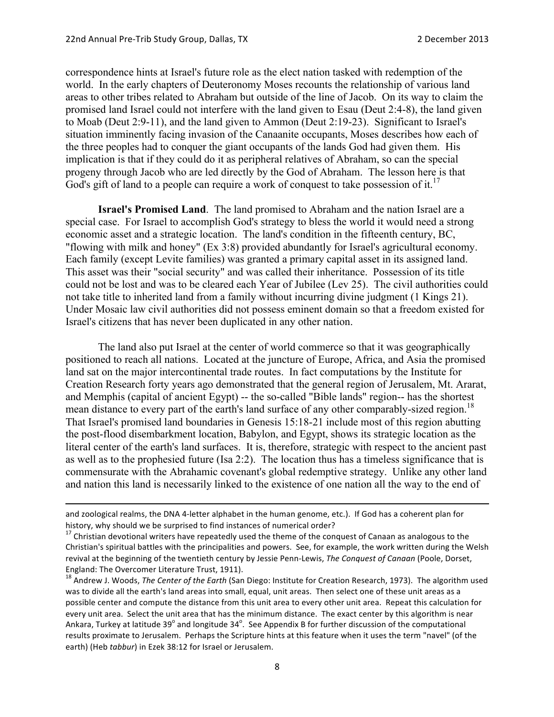correspondence hints at Israel's future role as the elect nation tasked with redemption of the world. In the early chapters of Deuteronomy Moses recounts the relationship of various land areas to other tribes related to Abraham but outside of the line of Jacob. On its way to claim the promised land Israel could not interfere with the land given to Esau (Deut 2:4-8), the land given to Moab (Deut 2:9-11), and the land given to Ammon (Deut 2:19-23). Significant to Israel's situation imminently facing invasion of the Canaanite occupants, Moses describes how each of the three peoples had to conquer the giant occupants of the lands God had given them. His implication is that if they could do it as peripheral relatives of Abraham, so can the special progeny through Jacob who are led directly by the God of Abraham. The lesson here is that God's gift of land to a people can require a work of conquest to take possession of it.<sup>17</sup>

**Israel's Promised Land**. The land promised to Abraham and the nation Israel are a special case. For Israel to accomplish God's strategy to bless the world it would need a strong economic asset and a strategic location. The land's condition in the fifteenth century, BC, "flowing with milk and honey" (Ex 3:8) provided abundantly for Israel's agricultural economy. Each family (except Levite families) was granted a primary capital asset in its assigned land. This asset was their "social security" and was called their inheritance. Possession of its title could not be lost and was to be cleared each Year of Jubilee (Lev 25). The civil authorities could not take title to inherited land from a family without incurring divine judgment (1 Kings 21). Under Mosaic law civil authorities did not possess eminent domain so that a freedom existed for Israel's citizens that has never been duplicated in any other nation.

The land also put Israel at the center of world commerce so that it was geographically positioned to reach all nations. Located at the juncture of Europe, Africa, and Asia the promised land sat on the major intercontinental trade routes. In fact computations by the Institute for Creation Research forty years ago demonstrated that the general region of Jerusalem, Mt. Ararat, and Memphis (capital of ancient Egypt) -- the so-called "Bible lands" region-- has the shortest mean distance to every part of the earth's land surface of any other comparably-sized region.<sup>18</sup> That Israel's promised land boundaries in Genesis 15:18-21 include most of this region abutting the post-flood disembarkment location, Babylon, and Egypt, shows its strategic location as the literal center of the earth's land surfaces. It is, therefore, strategic with respect to the ancient past as well as to the prophesied future (Isa 2:2). The location thus has a timeless significance that is commensurate with the Abrahamic covenant's global redemptive strategy. Unlike any other land and nation this land is necessarily linked to the existence of one nation all the way to the end of

<u> 1989 - Andrea Santa Andrea Andrea Andrea Andrea Andrea Andrea Andrea Andrea Andrea Andrea Andrea Andrea Andr</u>

and zoological realms, the DNA 4-letter alphabet in the human genome, etc.). If God has a coherent plan for history, why should we be surprised to find instances of numerical order?

 $17$  Christian devotional writers have repeatedly used the theme of the conquest of Canaan as analogous to the Christian's spiritual battles with the principalities and powers. See, for example, the work written during the Welsh revival at the beginning of the twentieth century by Jessie Penn-Lewis, The Conquest of Canaan (Poole, Dorset, England: The Overcomer Literature Trust, 1911).

<sup>&</sup>lt;sup>18</sup> Andrew J. Woods, *The Center of the Earth* (San Diego: Institute for Creation Research, 1973). The algorithm used was to divide all the earth's land areas into small, equal, unit areas. Then select one of these unit areas as a possible center and compute the distance from this unit area to every other unit area. Repeat this calculation for every unit area. Select the unit area that has the minimum distance. The exact center by this algorithm is near Ankara, Turkey at latitude 39<sup>°</sup> and longitude 34<sup>°</sup>. See Appendix B for further discussion of the computational results proximate to Jerusalem. Perhaps the Scripture hints at this feature when it uses the term "navel" (of the earth) (Heb *tabbur*) in Ezek 38:12 for Israel or Jerusalem.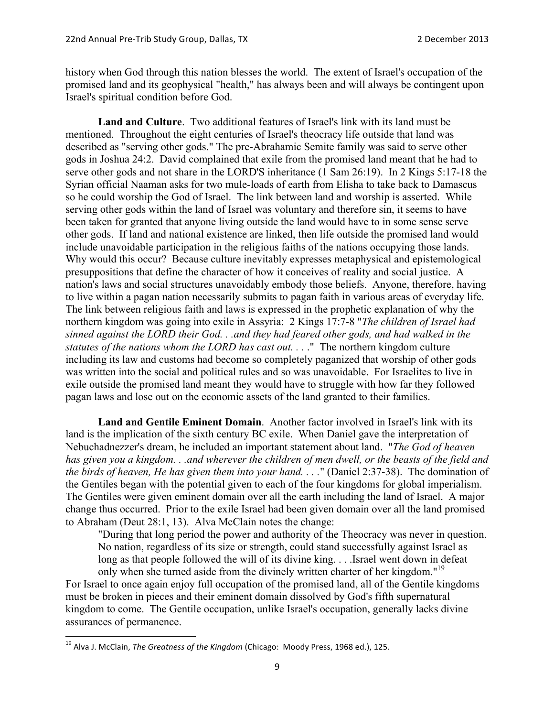history when God through this nation blesses the world. The extent of Israel's occupation of the promised land and its geophysical "health," has always been and will always be contingent upon Israel's spiritual condition before God.

**Land and Culture**. Two additional features of Israel's link with its land must be mentioned. Throughout the eight centuries of Israel's theocracy life outside that land was described as "serving other gods." The pre-Abrahamic Semite family was said to serve other gods in Joshua 24:2. David complained that exile from the promised land meant that he had to serve other gods and not share in the LORD'S inheritance (1 Sam 26:19). In 2 Kings 5:17-18 the Syrian official Naaman asks for two mule-loads of earth from Elisha to take back to Damascus so he could worship the God of Israel. The link between land and worship is asserted. While serving other gods within the land of Israel was voluntary and therefore sin, it seems to have been taken for granted that anyone living outside the land would have to in some sense serve other gods. If land and national existence are linked, then life outside the promised land would include unavoidable participation in the religious faiths of the nations occupying those lands. Why would this occur? Because culture inevitably expresses metaphysical and epistemological presuppositions that define the character of how it conceives of reality and social justice. A nation's laws and social structures unavoidably embody those beliefs. Anyone, therefore, having to live within a pagan nation necessarily submits to pagan faith in various areas of everyday life. The link between religious faith and laws is expressed in the prophetic explanation of why the northern kingdom was going into exile in Assyria: 2 Kings 17:7-8 "*The children of Israel had sinned against the LORD their God. . .and they had feared other gods, and had walked in the statutes of the nations whom the LORD has cast out. . .* ." The northern kingdom culture including its law and customs had become so completely paganized that worship of other gods was written into the social and political rules and so was unavoidable. For Israelites to live in exile outside the promised land meant they would have to struggle with how far they followed pagan laws and lose out on the economic assets of the land granted to their families.

**Land and Gentile Eminent Domain**. Another factor involved in Israel's link with its land is the implication of the sixth century BC exile. When Daniel gave the interpretation of Nebuchadnezzer's dream, he included an important statement about land. "*The God of heaven has given you a kingdom. . .and wherever the children of men dwell, or the beasts of the field and the birds of heaven, He has given them into your hand. . . .*" (Daniel 2:37-38). The domination of the Gentiles began with the potential given to each of the four kingdoms for global imperialism. The Gentiles were given eminent domain over all the earth including the land of Israel. A major change thus occurred. Prior to the exile Israel had been given domain over all the land promised to Abraham (Deut 28:1, 13). Alva McClain notes the change:

"During that long period the power and authority of the Theocracy was never in question. No nation, regardless of its size or strength, could stand successfully against Israel as long as that people followed the will of its divine king. . . .Israel went down in defeat only when she turned aside from the divinely written charter of her kingdom."<sup>19</sup>

For Israel to once again enjoy full occupation of the promised land, all of the Gentile kingdoms must be broken in pieces and their eminent domain dissolved by God's fifth supernatural kingdom to come. The Gentile occupation, unlike Israel's occupation, generally lacks divine assurances of permanence.

<sup>&</sup>lt;sup>19</sup> Alva J. McClain, *The Greatness of the Kingdom* (Chicago: Moody Press, 1968 ed.), 125.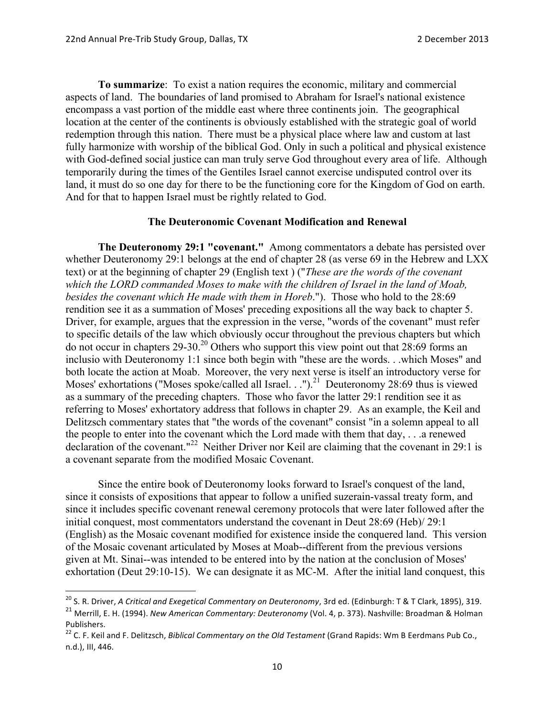**To summarize**: To exist a nation requires the economic, military and commercial aspects of land. The boundaries of land promised to Abraham for Israel's national existence encompass a vast portion of the middle east where three continents join. The geographical location at the center of the continents is obviously established with the strategic goal of world redemption through this nation. There must be a physical place where law and custom at last fully harmonize with worship of the biblical God. Only in such a political and physical existence with God-defined social justice can man truly serve God throughout every area of life. Although temporarily during the times of the Gentiles Israel cannot exercise undisputed control over its land, it must do so one day for there to be the functioning core for the Kingdom of God on earth. And for that to happen Israel must be rightly related to God.

## **The Deuteronomic Covenant Modification and Renewal**

**The Deuteronomy 29:1 "covenant."** Among commentators a debate has persisted over whether Deuteronomy 29:1 belongs at the end of chapter 28 (as verse 69 in the Hebrew and LXX text) or at the beginning of chapter 29 (English text ) ("*These are the words of the covenant which the LORD commanded Moses to make with the children of Israel in the land of Moab, besides the covenant which He made with them in Horeb*."). Those who hold to the 28:69 rendition see it as a summation of Moses' preceding expositions all the way back to chapter 5. Driver, for example, argues that the expression in the verse, "words of the covenant" must refer to specific details of the law which obviously occur throughout the previous chapters but which do not occur in chapters  $29-30$ <sup>20</sup> Others who support this view point out that  $28:69$  forms an inclusio with Deuteronomy 1:1 since both begin with "these are the words. . .which Moses" and both locate the action at Moab. Moreover, the very next verse is itself an introductory verse for Moses' exhortations ("Moses spoke/called all Israel. . .").<sup>21</sup> Deuteronomy 28:69 thus is viewed as a summary of the preceding chapters. Those who favor the latter 29:1 rendition see it as referring to Moses' exhortatory address that follows in chapter 29. As an example, the Keil and Delitzsch commentary states that "the words of the covenant" consist "in a solemn appeal to all the people to enter into the covenant which the Lord made with them that day, . . .a renewed declaration of the covenant."<sup>22</sup> Neither Driver nor Keil are claiming that the covenant in 29:1 is a covenant separate from the modified Mosaic Covenant.

Since the entire book of Deuteronomy looks forward to Israel's conquest of the land, since it consists of expositions that appear to follow a unified suzerain-vassal treaty form, and since it includes specific covenant renewal ceremony protocols that were later followed after the initial conquest, most commentators understand the covenant in Deut 28:69 (Heb)/ 29:1 (English) as the Mosaic covenant modified for existence inside the conquered land. This version of the Mosaic covenant articulated by Moses at Moab--different from the previous versions given at Mt. Sinai--was intended to be entered into by the nation at the conclusion of Moses' exhortation (Deut 29:10-15). We can designate it as MC-M. After the initial land conquest, this

<sup>&</sup>lt;sup>20</sup> S. R. Driver, *A Critical and Exegetical Commentary on Deuteronomy*, 3rd ed. (Edinburgh: T & T Clark, 1895), 319. <sup>21</sup> Merrill, E. H. (1994). *New American Commentary: Deuteronomy* (Vol. 4, p. 373). Nashville: Broadman & Holman Publishers.

<sup>&</sup>lt;sup>22</sup> C. F. Keil and F. Delitzsch, *Biblical Commentary on the Old Testament* (Grand Rapids: Wm B Eerdmans Pub Co., n.d.), III, 446.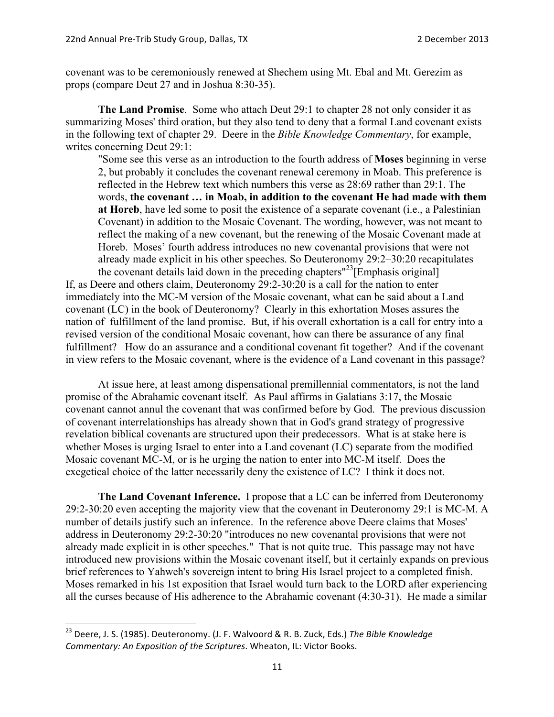covenant was to be ceremoniously renewed at Shechem using Mt. Ebal and Mt. Gerezim as props (compare Deut 27 and in Joshua 8:30-35).

**The Land Promise**. Some who attach Deut 29:1 to chapter 28 not only consider it as summarizing Moses' third oration, but they also tend to deny that a formal Land covenant exists in the following text of chapter 29. Deere in the *Bible Knowledge Commentary*, for example, writes concerning Deut 29:1:

"Some see this verse as an introduction to the fourth address of **Moses** beginning in verse 2, but probably it concludes the covenant renewal ceremony in Moab. This preference is reflected in the Hebrew text which numbers this verse as 28:69 rather than 29:1. The words, **the covenant … in Moab, in addition to the covenant He had made with them at Horeb**, have led some to posit the existence of a separate covenant (i.e., a Palestinian Covenant) in addition to the Mosaic Covenant. The wording, however, was not meant to reflect the making of a new covenant, but the renewing of the Mosaic Covenant made at Horeb. Moses' fourth address introduces no new covenantal provisions that were not already made explicit in his other speeches. So Deuteronomy 29:2–30:20 recapitulates the covenant details laid down in the preceding chapters"<sup>23</sup>[Emphasis original]

If, as Deere and others claim, Deuteronomy 29:2-30:20 is a call for the nation to enter immediately into the MC-M version of the Mosaic covenant, what can be said about a Land covenant (LC) in the book of Deuteronomy? Clearly in this exhortation Moses assures the nation of fulfillment of the land promise. But, if his overall exhortation is a call for entry into a revised version of the conditional Mosaic covenant, how can there be assurance of any final fulfillment? How do an assurance and a conditional covenant fit together? And if the covenant in view refers to the Mosaic covenant, where is the evidence of a Land covenant in this passage?

At issue here, at least among dispensational premillennial commentators, is not the land promise of the Abrahamic covenant itself. As Paul affirms in Galatians 3:17, the Mosaic covenant cannot annul the covenant that was confirmed before by God. The previous discussion of covenant interrelationships has already shown that in God's grand strategy of progressive revelation biblical covenants are structured upon their predecessors. What is at stake here is whether Moses is urging Israel to enter into a Land covenant (LC) separate from the modified Mosaic covenant MC-M, or is he urging the nation to enter into MC-M itself. Does the exegetical choice of the latter necessarily deny the existence of LC? I think it does not.

**The Land Covenant Inference.** I propose that a LC can be inferred from Deuteronomy 29:2-30:20 even accepting the majority view that the covenant in Deuteronomy 29:1 is MC-M. A number of details justify such an inference. In the reference above Deere claims that Moses' address in Deuteronomy 29:2-30:20 "introduces no new covenantal provisions that were not already made explicit in is other speeches." That is not quite true. This passage may not have introduced new provisions within the Mosaic covenant itself, but it certainly expands on previous brief references to Yahweh's sovereign intent to bring His Israel project to a completed finish. Moses remarked in his 1st exposition that Israel would turn back to the LORD after experiencing all the curses because of His adherence to the Abrahamic covenant (4:30-31). He made a similar

<sup>&</sup>lt;sup>23</sup> Deere, J. S. (1985). Deuteronomy. (J. F. Walvoord & R. B. Zuck, Eds.) *The Bible Knowledge Commentary: An Exposition of the Scriptures*. Wheaton, IL: Victor Books.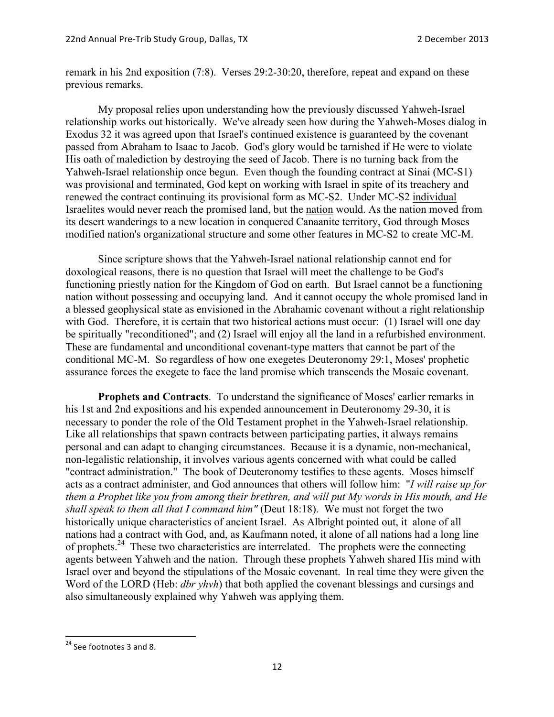remark in his 2nd exposition (7:8). Verses 29:2-30:20, therefore, repeat and expand on these previous remarks.

My proposal relies upon understanding how the previously discussed Yahweh-Israel relationship works out historically. We've already seen how during the Yahweh-Moses dialog in Exodus 32 it was agreed upon that Israel's continued existence is guaranteed by the covenant passed from Abraham to Isaac to Jacob. God's glory would be tarnished if He were to violate His oath of malediction by destroying the seed of Jacob. There is no turning back from the Yahweh-Israel relationship once begun. Even though the founding contract at Sinai (MC-S1) was provisional and terminated, God kept on working with Israel in spite of its treachery and renewed the contract continuing its provisional form as MC-S2. Under MC-S2 individual Israelites would never reach the promised land, but the nation would. As the nation moved from its desert wanderings to a new location in conquered Canaanite territory, God through Moses modified nation's organizational structure and some other features in MC-S2 to create MC-M.

Since scripture shows that the Yahweh-Israel national relationship cannot end for doxological reasons, there is no question that Israel will meet the challenge to be God's functioning priestly nation for the Kingdom of God on earth. But Israel cannot be a functioning nation without possessing and occupying land. And it cannot occupy the whole promised land in a blessed geophysical state as envisioned in the Abrahamic covenant without a right relationship with God. Therefore, it is certain that two historical actions must occur: (1) Israel will one day be spiritually "reconditioned"; and (2) Israel will enjoy all the land in a refurbished environment. These are fundamental and unconditional covenant-type matters that cannot be part of the conditional MC-M. So regardless of how one exegetes Deuteronomy 29:1, Moses' prophetic assurance forces the exegete to face the land promise which transcends the Mosaic covenant.

**Prophets and Contracts**. To understand the significance of Moses' earlier remarks in his 1st and 2nd expositions and his expended announcement in Deuteronomy 29-30, it is necessary to ponder the role of the Old Testament prophet in the Yahweh-Israel relationship. Like all relationships that spawn contracts between participating parties, it always remains personal and can adapt to changing circumstances. Because it is a dynamic, non-mechanical, non-legalistic relationship, it involves various agents concerned with what could be called "contract administration." The book of Deuteronomy testifies to these agents. Moses himself acts as a contract administer, and God announces that others will follow him: "*I will raise up for them a Prophet like you from among their brethren, and will put My words in His mouth, and He shall speak to them all that I command him"* (Deut 18:18). We must not forget the two historically unique characteristics of ancient Israel. As Albright pointed out, it alone of all nations had a contract with God, and, as Kaufmann noted, it alone of all nations had a long line of prophets.24 These two characteristics are interrelated. The prophets were the connecting agents between Yahweh and the nation. Through these prophets Yahweh shared His mind with Israel over and beyond the stipulations of the Mosaic covenant. In real time they were given the Word of the LORD (Heb: *dbr yhvh*) that both applied the covenant blessings and cursings and also simultaneously explained why Yahweh was applying them.

<sup>&</sup>lt;sup>24</sup> See footnotes 3 and 8.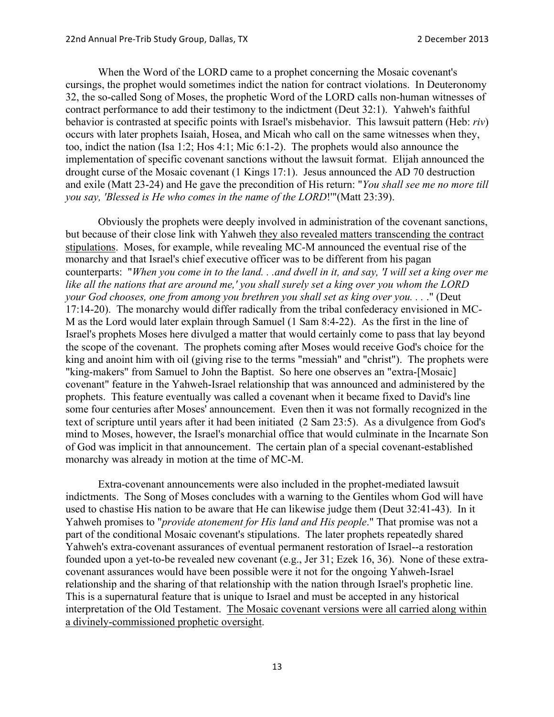When the Word of the LORD came to a prophet concerning the Mosaic covenant's cursings, the prophet would sometimes indict the nation for contract violations. In Deuteronomy 32, the so-called Song of Moses, the prophetic Word of the LORD calls non-human witnesses of contract performance to add their testimony to the indictment (Deut 32:1). Yahweh's faithful behavior is contrasted at specific points with Israel's misbehavior. This lawsuit pattern (Heb: *riv*) occurs with later prophets Isaiah, Hosea, and Micah who call on the same witnesses when they, too, indict the nation (Isa 1:2; Hos 4:1; Mic 6:1-2). The prophets would also announce the implementation of specific covenant sanctions without the lawsuit format. Elijah announced the drought curse of the Mosaic covenant (1 Kings 17:1). Jesus announced the AD 70 destruction and exile (Matt 23-24) and He gave the precondition of His return: "*You shall see me no more till you say, 'Blessed is He who comes in the name of the LORD*!'"(Matt 23:39).

Obviously the prophets were deeply involved in administration of the covenant sanctions, but because of their close link with Yahweh they also revealed matters transcending the contract stipulations. Moses, for example, while revealing MC-M announced the eventual rise of the monarchy and that Israel's chief executive officer was to be different from his pagan counterparts: "*When you come in to the land. . .and dwell in it, and say, 'I will set a king over me like all the nations that are around me,' you shall surely set a king over you whom the LORD your God chooses, one from among you brethren you shall set as king over you. . .* ." (Deut 17:14-20). The monarchy would differ radically from the tribal confederacy envisioned in MC-M as the Lord would later explain through Samuel (1 Sam 8:4-22). As the first in the line of Israel's prophets Moses here divulged a matter that would certainly come to pass that lay beyond the scope of the covenant. The prophets coming after Moses would receive God's choice for the king and anoint him with oil (giving rise to the terms "messiah" and "christ"). The prophets were "king-makers" from Samuel to John the Baptist. So here one observes an "extra-[Mosaic] covenant" feature in the Yahweh-Israel relationship that was announced and administered by the prophets. This feature eventually was called a covenant when it became fixed to David's line some four centuries after Moses' announcement. Even then it was not formally recognized in the text of scripture until years after it had been initiated (2 Sam 23:5). As a divulgence from God's mind to Moses, however, the Israel's monarchial office that would culminate in the Incarnate Son of God was implicit in that announcement. The certain plan of a special covenant-established monarchy was already in motion at the time of MC-M.

Extra-covenant announcements were also included in the prophet-mediated lawsuit indictments. The Song of Moses concludes with a warning to the Gentiles whom God will have used to chastise His nation to be aware that He can likewise judge them (Deut 32:41-43). In it Yahweh promises to "*provide atonement for His land and His people*." That promise was not a part of the conditional Mosaic covenant's stipulations. The later prophets repeatedly shared Yahweh's extra-covenant assurances of eventual permanent restoration of Israel--a restoration founded upon a yet-to-be revealed new covenant (e.g., Jer 31; Ezek 16, 36). None of these extracovenant assurances would have been possible were it not for the ongoing Yahweh-Israel relationship and the sharing of that relationship with the nation through Israel's prophetic line. This is a supernatural feature that is unique to Israel and must be accepted in any historical interpretation of the Old Testament. The Mosaic covenant versions were all carried along within a divinely-commissioned prophetic oversight.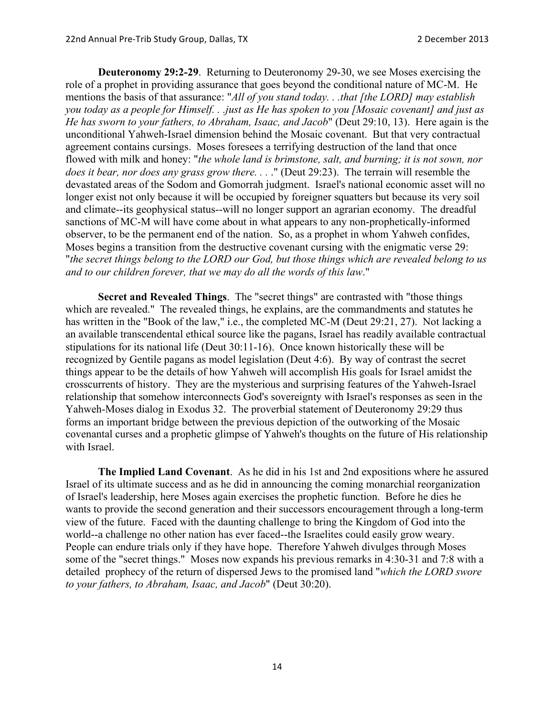**Deuteronomy 29:2-29**. Returning to Deuteronomy 29-30, we see Moses exercising the role of a prophet in providing assurance that goes beyond the conditional nature of MC-M. He mentions the basis of that assurance: "*All of you stand today. . .that [the LORD] may establish you today as a people for Himself. . .just as He has spoken to you [Mosaic covenant] and just as He has sworn to your fathers, to Abraham, Isaac, and Jacob*" (Deut 29:10, 13). Here again is the unconditional Yahweh-Israel dimension behind the Mosaic covenant. But that very contractual agreement contains cursings. Moses foresees a terrifying destruction of the land that once flowed with milk and honey: "*the whole land is brimstone, salt, and burning; it is not sown, nor does it bear, nor does any grass grow there. . .* ." (Deut 29:23). The terrain will resemble the devastated areas of the Sodom and Gomorrah judgment. Israel's national economic asset will no longer exist not only because it will be occupied by foreigner squatters but because its very soil and climate--its geophysical status--will no longer support an agrarian economy. The dreadful sanctions of MC-M will have come about in what appears to any non-prophetically-informed observer, to be the permanent end of the nation. So, as a prophet in whom Yahweh confides, Moses begins a transition from the destructive covenant cursing with the enigmatic verse 29: "*the secret things belong to the LORD our God, but those things which are revealed belong to us and to our children forever, that we may do all the words of this law*."

**Secret and Revealed Things**. The "secret things" are contrasted with "those things which are revealed." The revealed things, he explains, are the commandments and statutes he has written in the "Book of the law," i.e., the completed MC-M (Deut 29:21, 27). Not lacking a an available transcendental ethical source like the pagans, Israel has readily available contractual stipulations for its national life (Deut 30:11-16). Once known historically these will be recognized by Gentile pagans as model legislation (Deut 4:6). By way of contrast the secret things appear to be the details of how Yahweh will accomplish His goals for Israel amidst the crosscurrents of history. They are the mysterious and surprising features of the Yahweh-Israel relationship that somehow interconnects God's sovereignty with Israel's responses as seen in the Yahweh-Moses dialog in Exodus 32. The proverbial statement of Deuteronomy 29:29 thus forms an important bridge between the previous depiction of the outworking of the Mosaic covenantal curses and a prophetic glimpse of Yahweh's thoughts on the future of His relationship with Israel.

**The Implied Land Covenant**. As he did in his 1st and 2nd expositions where he assured Israel of its ultimate success and as he did in announcing the coming monarchial reorganization of Israel's leadership, here Moses again exercises the prophetic function. Before he dies he wants to provide the second generation and their successors encouragement through a long-term view of the future. Faced with the daunting challenge to bring the Kingdom of God into the world--a challenge no other nation has ever faced--the Israelites could easily grow weary. People can endure trials only if they have hope. Therefore Yahweh divulges through Moses some of the "secret things." Moses now expands his previous remarks in 4:30-31 and 7:8 with a detailed prophecy of the return of dispersed Jews to the promised land "*which the LORD swore to your fathers, to Abraham, Isaac, and Jacob*" (Deut 30:20).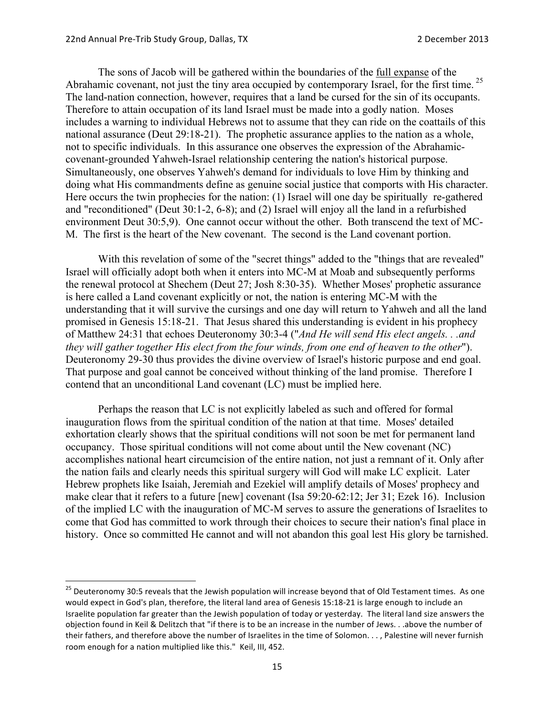The sons of Jacob will be gathered within the boundaries of the full expanse of the Abrahamic covenant, not just the tiny area occupied by contemporary Israel, for the first time.<sup>25</sup> The land-nation connection, however, requires that a land be cursed for the sin of its occupants. Therefore to attain occupation of its land Israel must be made into a godly nation. Moses includes a warning to individual Hebrews not to assume that they can ride on the coattails of this national assurance (Deut 29:18-21). The prophetic assurance applies to the nation as a whole, not to specific individuals. In this assurance one observes the expression of the Abrahamiccovenant-grounded Yahweh-Israel relationship centering the nation's historical purpose. Simultaneously, one observes Yahweh's demand for individuals to love Him by thinking and doing what His commandments define as genuine social justice that comports with His character. Here occurs the twin prophecies for the nation: (1) Israel will one day be spiritually re-gathered and "reconditioned" (Deut 30:1-2, 6-8); and (2) Israel will enjoy all the land in a refurbished environment Deut 30:5,9). One cannot occur without the other. Both transcend the text of MC-M. The first is the heart of the New covenant. The second is the Land covenant portion.

With this revelation of some of the "secret things" added to the "things that are revealed" Israel will officially adopt both when it enters into MC-M at Moab and subsequently performs the renewal protocol at Shechem (Deut 27; Josh 8:30-35). Whether Moses' prophetic assurance is here called a Land covenant explicitly or not, the nation is entering MC-M with the understanding that it will survive the cursings and one day will return to Yahweh and all the land promised in Genesis 15:18-21. That Jesus shared this understanding is evident in his prophecy of Matthew 24:31 that echoes Deuteronomy 30:3-4 ("*And He will send His elect angels. . .and they will gather together His elect from the four winds, from one end of heaven to the other*"). Deuteronomy 29-30 thus provides the divine overview of Israel's historic purpose and end goal. That purpose and goal cannot be conceived without thinking of the land promise. Therefore I contend that an unconditional Land covenant (LC) must be implied here.

Perhaps the reason that LC is not explicitly labeled as such and offered for formal inauguration flows from the spiritual condition of the nation at that time. Moses' detailed exhortation clearly shows that the spiritual conditions will not soon be met for permanent land occupancy. Those spiritual conditions will not come about until the New covenant (NC) accomplishes national heart circumcision of the entire nation, not just a remnant of it. Only after the nation fails and clearly needs this spiritual surgery will God will make LC explicit. Later Hebrew prophets like Isaiah, Jeremiah and Ezekiel will amplify details of Moses' prophecy and make clear that it refers to a future [new] covenant (Isa 59:20-62:12; Jer 31; Ezek 16). Inclusion of the implied LC with the inauguration of MC-M serves to assure the generations of Israelites to come that God has committed to work through their choices to secure their nation's final place in history. Once so committed He cannot and will not abandon this goal lest His glory be tarnished.

<sup>&</sup>lt;sup>25</sup> Deuteronomy 30:5 reveals that the Jewish population will increase beyond that of Old Testament times. As one would expect in God's plan, therefore, the literal land area of Genesis 15:18-21 is large enough to include an Israelite population far greater than the Jewish population of today or yesterday. The literal land size answers the objection found in Keil & Delitzch that "if there is to be an increase in the number of Jews. . .above the number of their fathers, and therefore above the number of Israelites in the time of Solomon. . . , Palestine will never furnish room enough for a nation multiplied like this." Keil, III, 452.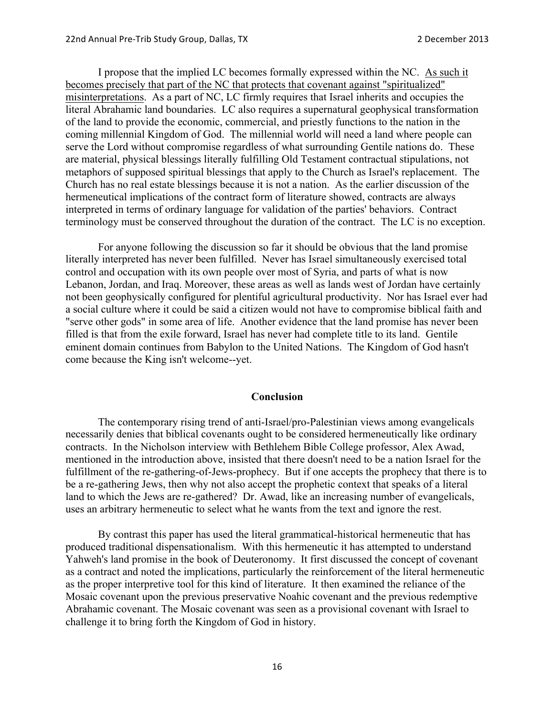I propose that the implied LC becomes formally expressed within the NC. As such it becomes precisely that part of the NC that protects that covenant against "spiritualized" misinterpretations. As a part of NC, LC firmly requires that Israel inherits and occupies the literal Abrahamic land boundaries. LC also requires a supernatural geophysical transformation of the land to provide the economic, commercial, and priestly functions to the nation in the coming millennial Kingdom of God. The millennial world will need a land where people can serve the Lord without compromise regardless of what surrounding Gentile nations do. These are material, physical blessings literally fulfilling Old Testament contractual stipulations, not metaphors of supposed spiritual blessings that apply to the Church as Israel's replacement. The Church has no real estate blessings because it is not a nation. As the earlier discussion of the hermeneutical implications of the contract form of literature showed, contracts are always interpreted in terms of ordinary language for validation of the parties' behaviors. Contract terminology must be conserved throughout the duration of the contract. The LC is no exception.

For anyone following the discussion so far it should be obvious that the land promise literally interpreted has never been fulfilled. Never has Israel simultaneously exercised total control and occupation with its own people over most of Syria, and parts of what is now Lebanon, Jordan, and Iraq. Moreover, these areas as well as lands west of Jordan have certainly not been geophysically configured for plentiful agricultural productivity. Nor has Israel ever had a social culture where it could be said a citizen would not have to compromise biblical faith and "serve other gods" in some area of life. Another evidence that the land promise has never been filled is that from the exile forward, Israel has never had complete title to its land. Gentile eminent domain continues from Babylon to the United Nations. The Kingdom of God hasn't come because the King isn't welcome--yet.

#### **Conclusion**

The contemporary rising trend of anti-Israel/pro-Palestinian views among evangelicals necessarily denies that biblical covenants ought to be considered hermeneutically like ordinary contracts. In the Nicholson interview with Bethlehem Bible College professor, Alex Awad, mentioned in the introduction above, insisted that there doesn't need to be a nation Israel for the fulfillment of the re-gathering-of-Jews-prophecy. But if one accepts the prophecy that there is to be a re-gathering Jews, then why not also accept the prophetic context that speaks of a literal land to which the Jews are re-gathered? Dr. Awad, like an increasing number of evangelicals, uses an arbitrary hermeneutic to select what he wants from the text and ignore the rest.

By contrast this paper has used the literal grammatical-historical hermeneutic that has produced traditional dispensationalism. With this hermeneutic it has attempted to understand Yahweh's land promise in the book of Deuteronomy. It first discussed the concept of covenant as a contract and noted the implications, particularly the reinforcement of the literal hermeneutic as the proper interpretive tool for this kind of literature. It then examined the reliance of the Mosaic covenant upon the previous preservative Noahic covenant and the previous redemptive Abrahamic covenant. The Mosaic covenant was seen as a provisional covenant with Israel to challenge it to bring forth the Kingdom of God in history.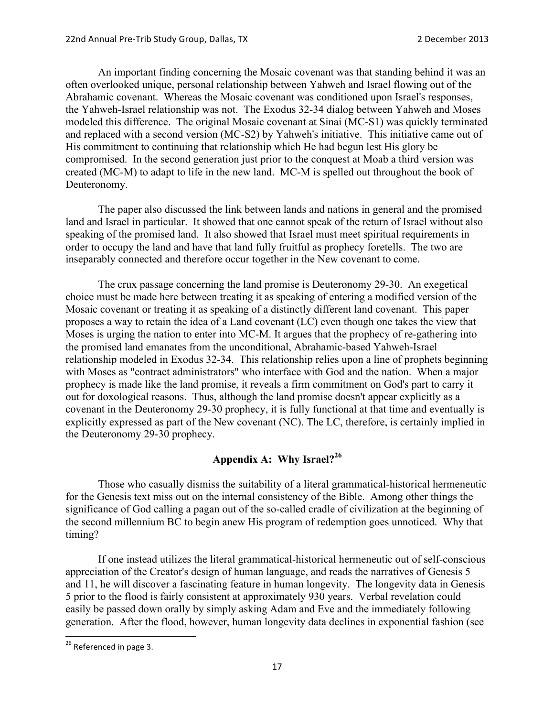An important finding concerning the Mosaic covenant was that standing behind it was an often overlooked unique, personal relationship between Yahweh and Israel flowing out of the Abrahamic covenant. Whereas the Mosaic covenant was conditioned upon Israel's responses, the Yahweh-Israel relationship was not. The Exodus 32-34 dialog between Yahweh and Moses modeled this difference. The original Mosaic covenant at Sinai (MC-S1) was quickly terminated and replaced with a second version (MC-S2) by Yahweh's initiative. This initiative came out of His commitment to continuing that relationship which He had begun lest His glory be compromised. In the second generation just prior to the conquest at Moab a third version was created (MC-M) to adapt to life in the new land. MC-M is spelled out throughout the book of Deuteronomy.

The paper also discussed the link between lands and nations in general and the promised land and Israel in particular. It showed that one cannot speak of the return of Israel without also speaking of the promised land. It also showed that Israel must meet spiritual requirements in order to occupy the land and have that land fully fruitful as prophecy foretells. The two are inseparably connected and therefore occur together in the New covenant to come.

The crux passage concerning the land promise is Deuteronomy 29-30. An exegetical choice must be made here between treating it as speaking of entering a modified version of the Mosaic covenant or treating it as speaking of a distinctly different land covenant. This paper proposes a way to retain the idea of a Land covenant (LC) even though one takes the view that Moses is urging the nation to enter into MC-M. It argues that the prophecy of re-gathering into the promised land emanates from the unconditional, Abrahamic-based Yahweh-Israel relationship modeled in Exodus 32-34. This relationship relies upon a line of prophets beginning with Moses as "contract administrators" who interface with God and the nation. When a major prophecy is made like the land promise, it reveals a firm commitment on God's part to carry it out for doxological reasons. Thus, although the land promise doesn't appear explicitly as a covenant in the Deuteronomy 29-30 prophecy, it is fully functional at that time and eventually is explicitly expressed as part of the New covenant (NC). The LC, therefore, is certainly implied in the Deuteronomy 29-30 prophecy.

# **Appendix A: Why Israel?<sup>26</sup>**

Those who casually dismiss the suitability of a literal grammatical-historical hermeneutic for the Genesis text miss out on the internal consistency of the Bible. Among other things the significance of God calling a pagan out of the so-called cradle of civilization at the beginning of the second millennium BC to begin anew His program of redemption goes unnoticed. Why that timing?

If one instead utilizes the literal grammatical-historical hermeneutic out of self-conscious appreciation of the Creator's design of human language, and reads the narratives of Genesis 5 and 11, he will discover a fascinating feature in human longevity. The longevity data in Genesis 5 prior to the flood is fairly consistent at approximately 930 years. Verbal revelation could easily be passed down orally by simply asking Adam and Eve and the immediately following generation. After the flood, however, human longevity data declines in exponential fashion (see

<sup>&</sup>lt;sup>26</sup> Referenced in page 3.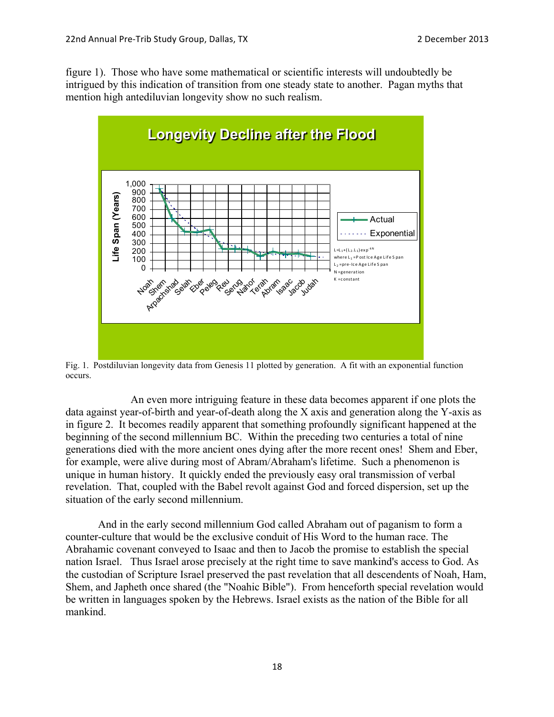figure 1). Those who have some mathematical or scientific interests will undoubtedly be intrigued by this indication of transition from one steady state to another. Pagan myths that mention high antediluvian longevity show no such realism.



Fig. 1. Postdiluvian longevity data from Genesis 11 plotted by generation. A fit with an exponential function occurs.

An even more intriguing feature in these data becomes apparent if one plots the data against year-of-birth and year-of-death along the X axis and generation along the Y-axis as in figure 2. It becomes readily apparent that something profoundly significant happened at the beginning of the second millennium BC. Within the preceding two centuries a total of nine generations died with the more ancient ones dying after the more recent ones! Shem and Eber, for example, were alive during most of Abram/Abraham's lifetime. Such a phenomenon is unique in human history. It quickly ended the previously easy oral transmission of verbal revelation. That, coupled with the Babel revolt against God and forced dispersion, set up the situation of the early second millennium.

And in the early second millennium God called Abraham out of paganism to form a counter-culture that would be the exclusive conduit of His Word to the human race. The Abrahamic covenant conveyed to Isaac and then to Jacob the promise to establish the special nation Israel. Thus Israel arose precisely at the right time to save mankind's access to God. As the custodian of Scripture Israel preserved the past revelation that all descendents of Noah, Ham, Shem, and Japheth once shared (the "Noahic Bible"). From henceforth special revelation would be written in languages spoken by the Hebrews. Israel exists as the nation of the Bible for all mankind.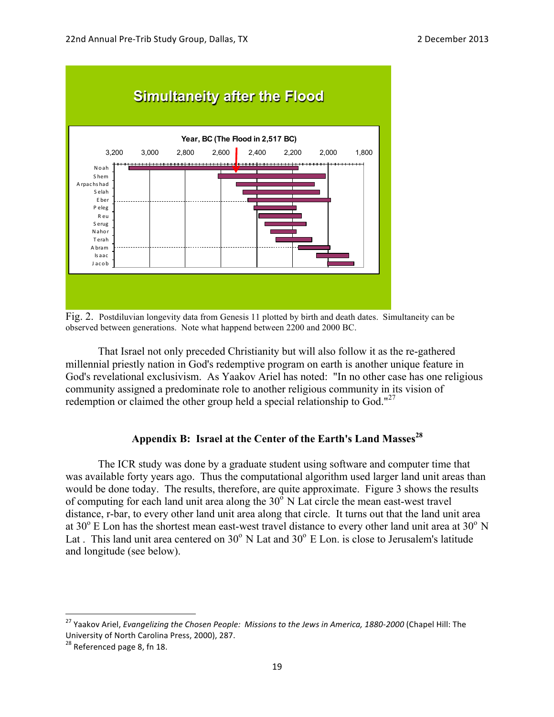

Fig. 2. Postdiluvian longevity data from Genesis 11 plotted by birth and death dates. Simultaneity can be observed between generations. Note what happend between 2200 and 2000 BC.

That Israel not only preceded Christianity but will also follow it as the re-gathered millennial priestly nation in God's redemptive program on earth is another unique feature in God's revelational exclusivism. As Yaakov Ariel has noted: "In no other case has one religious community assigned a predominate role to another religious community in its vision of redemption or claimed the other group held a special relationship to God."<sup>27</sup>

# **Appendix B: Israel at the Center of the Earth's Land Masses<sup>28</sup>**

The ICR study was done by a graduate student using software and computer time that was available forty years ago. Thus the computational algorithm used larger land unit areas than would be done today. The results, therefore, are quite approximate. Figure 3 shows the results of computing for each land unit area along the  $30^{\circ}$  N Lat circle the mean east-west travel distance, r-bar, to every other land unit area along that circle. It turns out that the land unit area at  $30^{\circ}$  E Lon has the shortest mean east-west travel distance to every other land unit area at  $30^{\circ}$  N Lat . This land unit area centered on  $30^{\circ}$  N Lat and  $30^{\circ}$  E Lon. is close to Jerusalem's latitude and longitude (see below).

<sup>&</sup>lt;sup>27</sup> Yaakov Ariel, *Evangelizing the Chosen People: Missions to the Jews in America, 1880-2000* (Chapel Hill: The University of North Carolina Press, 2000), 287.

 $28$  Referenced page 8, fn 18.